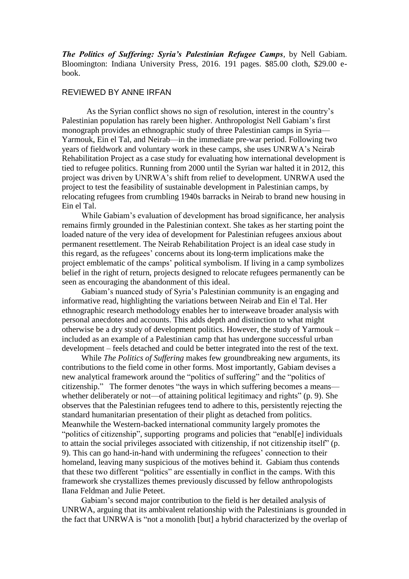*The Politics of Suffering: Syria's Palestinian Refugee Camps*, by Nell Gabiam. Bloomington: Indiana University Press, 2016. 191 pages. \$85.00 cloth, \$29.00 ebook.

## REVIEWED BY ANNE IRFAN

As the Syrian conflict shows no sign of resolution, interest in the country's Palestinian population has rarely been higher. Anthropologist Nell Gabiam's first monograph provides an ethnographic study of three Palestinian camps in Syria— Yarmouk, Ein el Tal, and Neirab—in the immediate pre-war period. Following two years of fieldwork and voluntary work in these camps, she uses UNRWA's Neirab Rehabilitation Project as a case study for evaluating how international development is tied to refugee politics. Running from 2000 until the Syrian war halted it in 2012, this project was driven by UNRWA's shift from relief to development. UNRWA used the project to test the feasibility of sustainable development in Palestinian camps, by relocating refugees from crumbling 1940s barracks in Neirab to brand new housing in Ein el Tal.

While Gabiam's evaluation of development has broad significance, her analysis remains firmly grounded in the Palestinian context. She takes as her starting point the loaded nature of the very idea of development for Palestinian refugees anxious about permanent resettlement. The Neirab Rehabilitation Project is an ideal case study in this regard, as the refugees' concerns about its long-term implications make the project emblematic of the camps' political symbolism. If living in a camp symbolizes belief in the right of return, projects designed to relocate refugees permanently can be seen as encouraging the abandonment of this ideal.

Gabiam's nuanced study of Syria's Palestinian community is an engaging and informative read, highlighting the variations between Neirab and Ein el Tal. Her ethnographic research methodology enables her to interweave broader analysis with personal anecdotes and accounts. This adds depth and distinction to what might otherwise be a dry study of development politics. However, the study of Yarmouk – included as an example of a Palestinian camp that has undergone successful urban development – feels detached and could be better integrated into the rest of the text.

While *The Politics of Suffering* makes few groundbreaking new arguments, its contributions to the field come in other forms. Most importantly, Gabiam devises a new analytical framework around the "politics of suffering" and the "politics of citizenship." The former denotes "the ways in which suffering becomes a means whether deliberately or not—of attaining political legitimacy and rights" (p. 9). She observes that the Palestinian refugees tend to adhere to this, persistently rejecting the standard humanitarian presentation of their plight as detached from politics. Meanwhile the Western-backed international community largely promotes the "politics of citizenship", supporting programs and policies that "enabl[e] individuals to attain the social privileges associated with citizenship, if not citizenship itself" (p. 9). This can go hand-in-hand with undermining the refugees' connection to their homeland, leaving many suspicious of the motives behind it. Gabiam thus contends that these two different "politics" are essentially in conflict in the camps. With this framework she crystallizes themes previously discussed by fellow anthropologists Ilana Feldman and Julie Peteet.

Gabiam's second major contribution to the field is her detailed analysis of UNRWA, arguing that its ambivalent relationship with the Palestinians is grounded in the fact that UNRWA is "not a monolith [but] a hybrid characterized by the overlap of